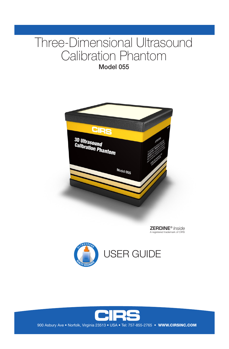# Three-Dimensional Ultrasound Calibration Phantom

Model 055



ZERDINE® *Inside* A registered trademark of CIRS





900 Asbury Ave • Norfolk, Virginia 23513 • USA • Tel: 757-855-2765 • WWW.CIRSINC.COM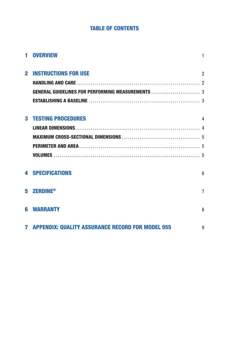# **TABLE OF CONTENTS**

| 1 OVERVIEW                                                | 1              |
|-----------------------------------------------------------|----------------|
| <b>2 INSTRUCTIONS FOR USE</b>                             | $\overline{2}$ |
|                                                           |                |
|                                                           |                |
|                                                           |                |
| <b>3 TESTING PROCEDURES</b>                               | 4              |
|                                                           |                |
|                                                           |                |
|                                                           |                |
|                                                           |                |
| <b>4 SPECIFICATIONS</b>                                   | 6              |
| 5 ZERDINE®                                                | $\overline{7}$ |
| <b>6 WARRANTY</b>                                         | 8              |
| <b>7 APPENDIX: QUALITY ASSURANCE RECORD FOR MODEL 055</b> | 9              |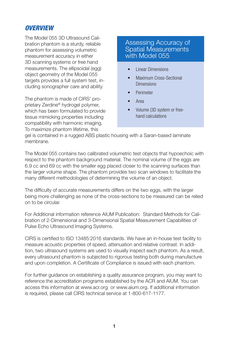# *OVERVIEW*

The Model 055 3D Ultrasound Calibration phantom is a sturdy, reliable phantom for assessing volumetric measurement accuracy in either 3D scanning systems or free hand measurements. The ellipsoidal (egg) object geometry of the Model 055 targets provides a full system test, including sonographer care and ability.

The phantom is made of CIRS' proprietary Zerdine® hydrogel polymer, which has been formulated to provide tissue mimicking properties including compatibility with harmonic imaging. To maximize phantom lifetime, this

# Assessing Accuracy of Spatial Measurements with Model 055

- Linear Dimensions
- Maximum Cross-Sectional **Dimensions**
- Perimeter
- Area
- Volume (3D system or freehand calculations

gel is contained in a rugged ABS plastic housing with a Saran-based laminate membrane.

The Model 055 contains two calibrated volumetric test objects that hypoechoic with respect to the phantom background material. The nominal volume of the eggs are 6.9 cc and 69 cc with the smaller egg placed closer to the scanning surfaces than the larger volume shape. The phantom provides two scan windows to facilitate the many different methodologies of determining the volume of an object.

The difficulty of accurate measurements differs on the two eggs, with the larger being more challenging as none of the cross-sections to be measured can be relied on to be circular.

For Additional information reference AIUM Publication: Standard Methods for Calibration of 2-Dimensional and 3-Dimensional Spatial Measurement Capabilities of Pulse Echo Ultrasound Imaging Systems.

CIRS is certified to ISO 13485:2016 standards. We have an in-house test facility to measure acoustic properties of speed, attenuation and relative contrast. In addition, two ultrasound systems are used to visually inspect each phantom. As a result, every ultrasound phantom is subjected to rigorous testing both during manufacture and upon completion. A Certificate of Compliance is issued with each phantom.

For further guidance on establishing a quality assurance program, you may want to reference the accreditation programs established by the ACR and AIUM. You can access this information at www.acr.org or www.aium.org. If additional information is required, please call CIRS technical service at 1-800-617-1177.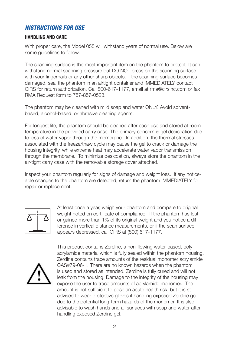# *INSTRUCTIONS FOR USE*

## **HANDLING AND CARE**

With proper care, the Model 055 will withstand years of normal use. Below are some guidelines to follow.

The scanning surface is the most important item on the phantom to protect. It can withstand normal scanning pressure but DO NOT press on the scanning surface with your fingernails or any other sharp objects. If the scanning surface becomes damaged, seal the phantom in an airtight container and IMMEDIATELY contact CIRS for return authorization. Call 800-617-1177, email at rma@cirsinc.com or fax RMA Request form to 757-857-0523.

The phantom may be cleaned with mild soap and water ONLY. Avoid solventbased, alcohol-based, or abrasive cleaning agents.

For longest life, the phantom should be cleaned after each use and stored at room temperature in the provided carry case. The primary concern is gel desiccation due to loss of water vapor through the membrane. In addition, the thermal stresses associated with the freeze/thaw cycle may cause the gel to crack or damage the housing integrity, while extreme heat may accelerate water vapor transmission through the membrane. To minimize desiccation, always store the phantom in the air-tight carry case with the removable storage cover attached.

Inspect your phantom regularly for signs of damage and weight loss. If any noticeable changes to the phantom are detected, return the phantom IMMEDIATELY for repair or replacement.



At least once a year, weigh your phantom and compare to original weight noted on certificate of compliance. If the phantom has lost or gained more than 1% of its original weight and you notice a difference in vertical distance measurements, or if the scan surface appears depressed, call CIRS at (800) 617-1177.



This product contains Zerdine, a non-flowing water-based, polyacrylamide material which is fully sealed within the phantom housing. Zerdine contains trace amounts of the residual monomer acrylamide CAS#79-06-1. There are no known hazards when the phantom is used and stored as intended. Zerdine is fully cured and will not leak from the housing. Damage to the integrity of the housing may expose the user to trace amounts of acrylamide monomer. The amount is not sufficient to pose an acute health risk, but it is still advised to wear protective gloves if handling exposed Zerdine gel due to the potential long-term hazards of the monomer. It is also advisable to wash hands and all surfaces with soap and water after handling exposed Zerdine gel.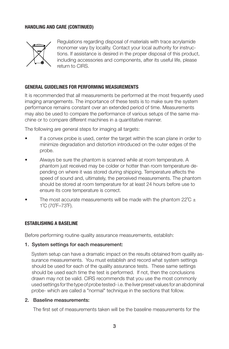### **HANDLING AND CARE (CONTINUED)**



Regulations regarding disposal of materials with trace acrylamide monomer vary by locality. Contact your local authority for instructions. If assistance is desired in the proper disposal of this product, including accessories and components, after its useful life, please return to CIRS.

### **GENERAL GUIDELINES FOR PERFORMING MEASUREMENTS**

It is recommended that all measurements be performed at the most frequently used imaging arrangements. The importance of these tests is to make sure the system performance remains constant over an extended period of time. Measurements may also be used to compare the performance of various setups of the same machine or to compare different machines in a quantitative manner.

The following are general steps for imaging all targets:

- If a convex probe is used, center the target within the scan plane in order to minimize degradation and distortion introduced on the outer edges of the probe.
- Always be sure the phantom is scanned while at room temperature. A phantom just received may be colder or hotter than room temperature depending on where it was stored during shipping. Temperature affects the speed of sound and, ultimately, the perceived measurements. The phantom should be stored at room temperature for at least 24 hours before use to ensure its core temperature is correct.
- The most accurate measurements will be made with the phantom  $22^{\circ}$ C  $\pm$ 1˚C (70˚F–73˚F).

### **ESTABLISHING A BASELINE**

Before performing routine quality assurance measurements, establish:

#### 1. System settings for each measurement:

System setup can have a dramatic impact on the results obtained from quality assurance measurements. You must establish and record what system settings should be used for each of the quality assurance tests. These same settings should be used each time the test is performed. If not, then the conclusions drawn may not be valid. CIRS recommends that you use the most commonly used settings for the type of probe tested- i.e. the liver preset values for an abdominal probe- which are called a "normal" technique in the sections that follow.

#### 2. Baseline measurements:

The first set of measurements taken will be the baseline measurements for the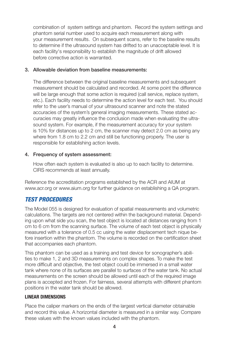combination of system settings and phantom. Record the system settings and phantom serial number used to acquire each measurement along with your measurement results. On subsequent scans, refer to the baseline results to determine if the ultrasound system has drifted to an unacceptable level. It is each facility's responsibility to establish the magnitude of drift allowed before corrective action is warranted.

## 3. Allowable deviation from baseline measurements:

The difference between the original baseline measurements and subsequent measurement should be calculated and recorded. At some point the difference will be large enough that some action is required (call service, replace system, etc.). Each facility needs to determine the action level for each test. You should refer to the user's manual of your ultrasound scanner and note the stated accuracies of the system's general imaging measurements. These stated accuracies may greatly influence the conclusion made when evaluating the ultrasound system. For example, if the measurement accuracy for your system is 10% for distances up to 2 cm, the scanner may detect 2.0 cm as being any where from 1.8 cm to 2.2 cm and still be functioning properly. The user is responsible for establishing action levels.

# 4. Frequency of system assessment:

 How often each system is evaluated is also up to each facility to determine. CIRS recommends at least annually.

Reference the accreditation programs established by the ACR and AIUM at www.acr.org or www.aium.org for further guidance on establishing a QA program.

# *TEST PROCEDURES*

The Model 055 is designed for evaluation of spatial measurements and volumetric calculations. The targets are not centered within the background material. Depending upon what side you scan, the test object is located at distances ranging from 1 cm to 6 cm from the scanning surface. The volume of each test object is physically measured with a tolerance of 0.5 cc using the water displacement tech nique before insertion within the phantom. The volume is recorded on the certification sheet that accompanies each phantom.

This phantom can be used as a training and test device for sonographer's abilities to make 1, 2 and 3D measurements on complex shapes. To make the test more difficult and objective, the test object could be immersed in a small water tank where none of its surfaces are parallel to surfaces of the water tank. No actual measurements on the screen should be allowed until each of the required image plans is accepted and frozen. For fairness, several attempts with different phantom positions in the water tank should be allowed.

# **LINEAR DIMENSIONS**

Place the caliper markers on the ends of the largest vertical diameter obtainable and record this value. A horizontal diameter is measured in a similar way. Compare these values with the known values included with the phantom.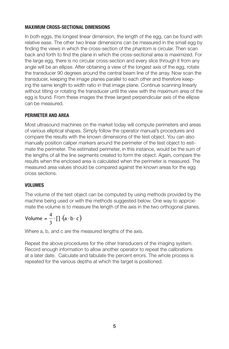## **MAXIMUM CROSS-SECTIONAL DIMENSIONS**

In both eggs, the longest linear dimension, the length of the egg, can be found with relative ease. The other two linear dimensions can be measured in the small egg by finding the views in which the cross-section of the phantom is circular. Then scan back and forth to find the plane in which the cross-sectional area is maximized. For the large egg, there is no circular cross-section and every slice through it from any angle will be an ellipse. After obtaining a view of the longest axis of the egg, rotate the transducer 90 degrees around the central beam line of the array. Now scan the transducer, keeping the image planes parallel to each other and therefore keeping the same length to width ratio in that image plane. Continue scanning linearly without tilting or rotating the transducer until the view with the maximum area of the egg is found. From these images the three largest perpendicular axis of the ellipse can be measured.

## **PERIMETER AND AREA**

Most ultrasound machines on the market today will compute perimeters and areas of various elliptical shapes. Simply follow the operator manual's procedures and compare the results with the known dimensions of the test object. You can also manually position caliper markers around the perimeter of the test object to estimate the perimeter. The estimated perimeter, in this instance, would be the sum of the lengths of all the line segments created to form the object. Again, compare the results when the enclosed area is calculated when the perimeter is measured. The measured area values should be compared against the known areas for the egg cross sections.

### **VOLUMES**

The volume of the test object can be computed by using methods provided by the machine being used or with the methods suggested below. One way to approximate the volume is to measure the length of the axis in the two orthogonal planes.

Volume = 
$$
\frac{4}{3} \cdot \prod (a \cdot b \cdot c)
$$

Where a, b, and c are the measured lengths of the axis.

Repeat the above procedures for the other transducers of the imaging system. Record enough information to allow another operator to repeat the calibrations at a later date. Calculate and tabulate the percent errors. The whole process is repeated for the various depths at which the target is positioned.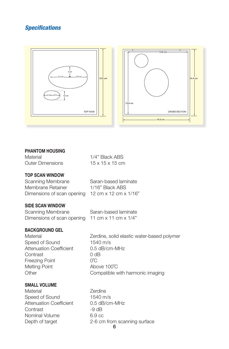# *Specifications*



#### **PHANTOM HOUSING**

 $15 \times 15 \times 15$  cm Material 1/4" Black ABS Outer Dimensions

# **TOP SCAN WINDOW**

Membrane Retainer 1/16" Black ABS Scanning Membrane Saran-based laminate Dimensions of scan opening 12 cm x 12 cm x 1/16"

## **SIDE SCAN WINDOW**

| Scanning Membrane          | Saran-based laminate               |
|----------------------------|------------------------------------|
| Dimensions of scan opening | 11 cm $\times$ 11 cm $\times$ 1/4" |

# **BACKGROUND GEL**

Speed of Sound 1540 m/s Attenuation Coefficient 0.5 dB/cm-MHz Contrast 0 dB Freezing Point  $0^{\circ}$ C Melting Point Above 100°C

Material **Material** Zerdine, solid elastic water-based polymer Other Compatible with harmonic imaging

# **SMALL VOLUME**

Material **Zerdine** Speed of Sound 1540 m/s Attenuation Coefficient 0.5 dB/cm-MHz Contrast -9 dB Nominal Volume 6.9 cc

Depth of target 2-6 cm from scanning surface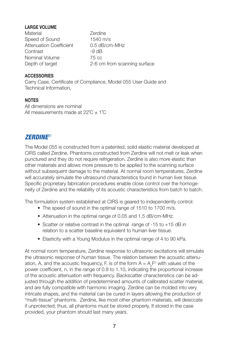# **LARGE VOLUME**

Material **Zerdine** Speed of Sound 1540 m/s Attenuation Coefficient 0.5 dB/cm-MHz Contrast -9 dB Nominal Volume 75 cc

Depth of target 2-6 cm from scanning surface

# **ACCESSORIES**

Carry Case, Certificate of Compliance, Model 055 User Guide and Technical Information,

# **NOTES**

All dimensions are nominal All measurements made at  $22^{\circ}C \pm 1^{\circ}C$ 

# *ZERDINE®*

The Model 055 is constructed from a patented, solid elastic material developed at CIRS called Zerdine. Phantoms constructed from Zerdine will not melt or leak when punctured and they do not require refrigeration. Zerdine is also more elastic than other materials and allows more pressure to be applied to the scanning surface without subsequent damage to the material. At normal room temperatures, Zerdine will accurately simulate the ultrasound characteristics found in human liver tissue. Specific proprietary fabrication procedures enable close control over the homogeneity of Zerdine and the reliability of its acoustic characteristics from batch to batch.

The formulation system established at CIRS is geared to independently control:

- The speed of sound in the optimal range of 1510 to 1700 m/s.
- Attenuation in the optimal range of 0.05 and 1.5 dB/cm-MHz.
- Scatter or relative contrast in the optimal range of -15 to +15 dB in relation to a scatter baseline equivalent to human liver tissue.
- Elasticity with a Young Modulus in the optimal range of 4 to 90 kPa.

At normal room temperature, Zerdine response to ultrasonic excitations will simulate the ultrasonic response of human tissue. The relation between the acoustic attenuation, A, and the acoustic frequency, F, is of the form  $A = A_{\circ}F^n$  with values of the power coefficient, n, in the range of 0.8 to 1.10, indicating the proportional increase of the acoustic attenuation with frequency. Backscatter characteristics can be adjusted through the addition of predetermined amounts of calibrated scatter material, and are fully compatible with harmonic imaging. Zerdine can be molded into very intricate shapes, and the material can be cured in layers allowing the production of "multi-tissue" phantoms. Zerdine, like most other phantom materials, will desiccate if unprotected; thus, all phantoms must be stored properly. If stored in the case provided, your phantom should last many years.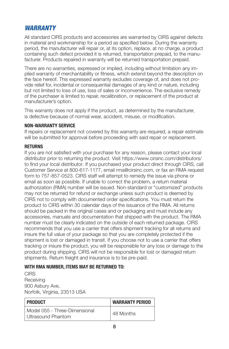# *WARRANTY*

All standard CIRS products and accessories are warranted by CIRS against defects in material and workmanship for a period as specified below. During the warranty period, the manufacturer will repair or, at its option, replace, at no charge, a product containing such defect provided it is returned, transportation prepaid, to the manufacturer. Products repaired in warranty will be returned transportation prepaid.

There are no warranties, expressed or implied, including without limitation any implied warranty of merchantability or fitness, which extend beyond the description on the face hereof. This expressed warranty excludes coverage of, and does not provide relief for, incidental or consequential damages of any kind or nature, including but not limited to loss of use, loss of sales or inconvenience. The exclusive remedy of the purchaser is limited to repair, recalibration, or replacement of the product at manufacturer's option.

This warranty does not apply if the product, as determined by the manufacturer, is defective because of normal wear, accident, misuse, or modification.

## **NON-WARRANTY SERVICE**

If repairs or replacement not covered by this warranty are required, a repair estimate will be submitted for approval before proceeding with said repair or replacement.

### **RETURNS**

If you are not satisfied with your purchase for any reason, please contact your local distributor prior to returning the product. Visit https://www.cirsinc.com/distributors/ to find your local distributor. If you purchased your product direct through CIRS, call Customer Service at 800-617-1177, email rma@cirsinc.com, or fax an RMA request form to 757-857-0523. CIRS staff will attempt to remedy the issue via phone or email as soon as possible. If unable to correct the problem, a return material authorization (RMA) number will be issued. Non-standard or "customized" products may not be returned for refund or exchange unless such product is deemed by CIRS not to comply with documented order specifications. You must return the product to CIRS within 30 calendar days of the issuance of the RMA. All returns should be packed in the original cases and or packaging and must include any accessories, manuals and documentation that shipped with the product. The RMA number must be clearly indicated on the outside of each returned package. CIRS recommends that you use a carrier that offers shipment tracking for all returns and insure the full value of your package so that you are completely protected if the shipment is lost or damaged in transit. If you choose not to use a carrier that offers tracking or insure the product, you will be responsible for any loss or damage to the product during shipping. CIRS will not be responsible for lost or damaged return shipments. Return freight and insurance is to be pre-paid.

# **WITH RMA NUMBER, ITEMS MAY BE RETURNED TO:**

**CIRS Receiving** 900 Asbury Ave, Norfolk, Virginia, 23513 USA

| <b>PRODUCT</b>                                      | <b>WARRANTY PERIOD</b> |
|-----------------------------------------------------|------------------------|
| Model 055 - Three-Dimensional<br>Ultrasound Phantom | 48 Months              |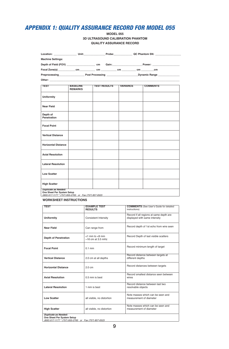# *APPENDIX 1: QUALITY ASSURANCE RECORD FOR MODEL 055*

#### **MODEL 055 3D ULTRASOUND CALIBRATION PHANTOM QUALITY ASSURANCE RECORD**

|                                                                                                                    |                                   |                     |                                             | Location: Unit: Unit: Probe: QC Phantom SN: |  |
|--------------------------------------------------------------------------------------------------------------------|-----------------------------------|---------------------|---------------------------------------------|---------------------------------------------|--|
| <b>Machine Settings:</b>                                                                                           |                                   |                     |                                             |                                             |  |
|                                                                                                                    |                                   |                     |                                             |                                             |  |
|                                                                                                                    |                                   |                     |                                             |                                             |  |
|                                                                                                                    |                                   |                     | Preprocessing Post Processing Dynamic Range |                                             |  |
|                                                                                                                    |                                   |                     |                                             |                                             |  |
| <b>TEST</b>                                                                                                        | <b>BASELINE</b><br><b>REMARKS</b> | <b>TEST RESULTS</b> | <b>VARIANCE</b>                             | <b>COMMENTS</b>                             |  |
| <b>Uniformity</b>                                                                                                  |                                   |                     |                                             |                                             |  |
| Near Field                                                                                                         |                                   |                     |                                             |                                             |  |
| Depth of<br>Penetration                                                                                            |                                   |                     |                                             |                                             |  |
| <b>Focal Point</b>                                                                                                 |                                   |                     |                                             |                                             |  |
| <b>Vertical Distance</b>                                                                                           |                                   |                     |                                             |                                             |  |
| <b>Horizontal Distance</b>                                                                                         |                                   |                     |                                             |                                             |  |
| <b>Axial Resolution</b>                                                                                            |                                   |                     |                                             |                                             |  |
| <b>Lateral Resolution</b>                                                                                          |                                   |                     |                                             |                                             |  |
| <b>Low Scatter</b>                                                                                                 |                                   |                     |                                             |                                             |  |
| <b>High Scatter</b>                                                                                                |                                   |                     |                                             |                                             |  |
| <b>Duplicate as Needed:</b><br>One Sheet Per System Setup<br>(800) 617-1177 * (757) 855-2765 or Fax (757) 857-0523 |                                   |                     |                                             |                                             |  |

#### **WORKSHEET INSTRUCTIONS**

| <b>TEST</b>                                                                                                        | <b>EXAMPLE TEST</b><br><b>RESULTS</b>              | <b>COMMENTS</b> (See User's Guide for detailed<br>instructions)          |  |  |  |
|--------------------------------------------------------------------------------------------------------------------|----------------------------------------------------|--------------------------------------------------------------------------|--|--|--|
| <b>Uniformity</b>                                                                                                  | <b>Consistent Intensity</b>                        | Record if all regions at same depth are<br>displayed with same intensity |  |  |  |
| <b>Near Field</b>                                                                                                  | Can range from                                     | Record depth of 1st echo from wire seen                                  |  |  |  |
| <b>Depth of Penetration</b>                                                                                        | $<$ 1 mm to $<$ 9 mm<br>$\approx$ 16 cm at 3.5 mHz | Record Depth of last visible scatters                                    |  |  |  |
| <b>Focal Point</b>                                                                                                 | $0.1$ mm                                           | Record minimum length of target                                          |  |  |  |
| <b>Vertical Distance</b>                                                                                           | 2.0 cm at all depths                               | Record distance between targets at<br>different depths                   |  |  |  |
| <b>Horizontal Distance</b>                                                                                         | $2.0 \text{ cm}$                                   | Record distances between targets                                         |  |  |  |
| <b>Axial Resolution</b>                                                                                            | 0.5 mm is best                                     | Record smallest distance seen between<br>wires                           |  |  |  |
| <b>Lateral Resolution</b>                                                                                          | 1 mm is best                                       | Record distance between last two<br>resolvable objects                   |  |  |  |
| <b>Low Scatter</b>                                                                                                 | all visible, no distortion                         | Note masses which can be seen and<br>measurement of diameter             |  |  |  |
| <b>High Scatter</b>                                                                                                | all visible, no distortion                         | Note masses which can be seen and<br>measurement of diameter             |  |  |  |
| <b>Duplicate as Needed:</b><br>One Sheet Per System Setup<br>(800) 617-1177 * (757) 855-2765 or Fax (757) 857-0523 |                                                    |                                                                          |  |  |  |